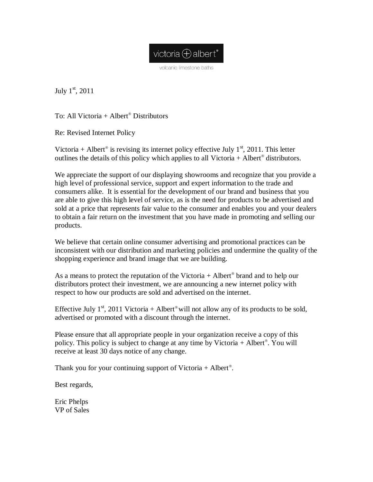

volcanic limestone baths

July  $1^{\text{st}}$ , 2011

To: All Victoria  $+$  Albert<sup>®</sup> Distributors

Re: Revised Internet Policy

Victoria + Albert<sup>®</sup> is revising its internet policy effective July  $1<sup>st</sup>$ , 2011. This letter outlines the details of this policy which applies to all Victoria  $+$  Albert<sup>®</sup> distributors.

We appreciate the support of our displaying showrooms and recognize that you provide a high level of professional service, support and expert information to the trade and consumers alike. It is essential for the development of our brand and business that you are able to give this high level of service, as is the need for products to be advertised and sold at a price that represents fair value to the consumer and enables you and your dealers to obtain a fair return on the investment that you have made in promoting and selling our products.

We believe that certain online consumer advertising and promotional practices can be inconsistent with our distribution and marketing policies and undermine the quality of the shopping experience and brand image that we are building.

As a means to protect the reputation of the Victoria  $+$  Albert<sup>®</sup> brand and to help our distributors protect their investment, we are announcing a new internet policy with respect to how our products are sold and advertised on the internet.

Effective July 1<sup>st</sup>, 2011 Victoria + Albert<sup>®</sup> will not allow any of its products to be sold, advertised or promoted with a discount through the internet.

Please ensure that all appropriate people in your organization receive a copy of this policy. This policy is subject to change at any time by Victoria + Albert . You will receive at least 30 days notice of any change.

Thank you for your continuing support of Victoria  $+$  Albert<sup>®</sup>.

Best regards,

Eric Phelps VP of Sales